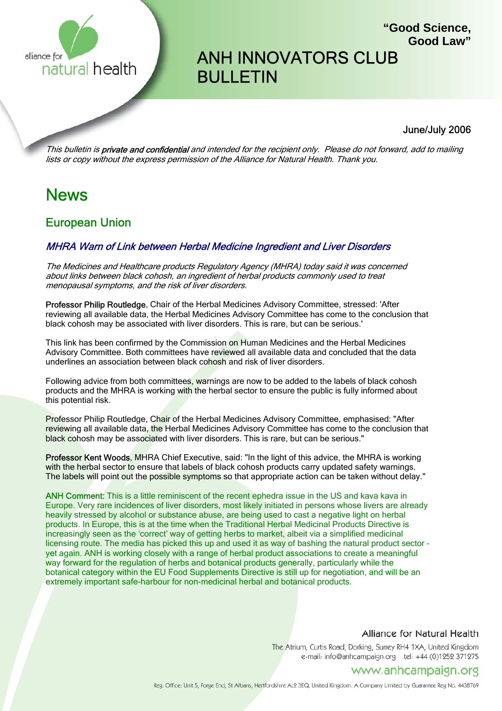

# ANH INNOVATORS CLUB BULLETIN

#### June/July 2006

**"Good Science,**

**Good Law"**

This bulletin is **private and confidential** and intended for the recipient only. Please do not forward, add to mailing lists or copy without the express permission of the Alliance for Natural Health. Thank you.

# News

# European Union

#### MHRA Warn of Link between Herbal Medicine Ingredient and Liver Disorders

The Medicines and Healthcare products Regulatory Agency (MHRA) today said it was concerned about links between black cohosh, an ingredient of herbal products commonly used to treat menopausal symptoms, and the risk of liver disorders.

Professor Philip Routledge, Chair of the Herbal Medicines Advisory Committee, stressed: 'After reviewing all available data, the Herbal Medicines Advisory Committee has come to the conclusion that black cohosh may be associated with liver disorders. This is rare, but can be serious.'

This link has been confirmed by the Commission on Human Medicines and the Herbal Medicines Advisory Committee. Both committees have reviewed all available data and concluded that the data underlines an association between black cohosh and risk of liver disorders.

Following advice from both committees, warnings are now to be added to the labels of black cohosh products and the MHRA is working with the herbal sector to ensure the public is fully informed about this potential risk.

Professor Philip Routledge, Chair of the Herbal Medicines Advisory Committee, emphasised: "After reviewing all available data, the Herbal Medicines Advisory Committee has come to the conclusion that black cohosh may be associated with liver disorders. This is rare, but can be serious."

Professor Kent Woods, MHRA Chief Executive, said: "In the light of this advice, the MHRA is working with the herbal sector to ensure that labels of black cohosh products carry updated safety warnings. The labels will point out the possible symptoms so that appropriate action can be taken without delay."

ANH Comment: This is a little reminiscent of the recent ephedra issue in the US and kava kava in Europe. Very rare incidences of liver disorders, most likely initiated in persons whose livers are already heavily stressed by alcohol or substance abuse, are being used to cast a negative light on herbal products. In Europe, this is at the time when the Traditional Herbal Medicinal Products Directive is increasingly seen as the 'correct' way of getting herbs to market, albeit via a simplified medicinal licensing route. The media has picked this up and used it as way of bashing the natural product sector – yet again. ANH is working closely with a range of herbal product associations to create a meaningful way forward for the regulation of herbs and botanical products generally, particularly while the botanical category within the EU Food Supplements Directive is still up for negotiation, and will be an extremely important safe-harbour for non-medicinal herbal and botanical products.

#### Alliance for Natural Health

The Atrium, Curtis Road, Dorking, Surrey RH4 1XA, United Kingdom e-mail: info@anhcampaign.org tel: +44 (0)1252 371275

### www.anhcampaign.org

Reg. Office: Unit 5, Forge End, St Albans, Hertfordshire AL2 3EQ, United Kingdom. A Company Limited by Guarantee Reg No. 4438769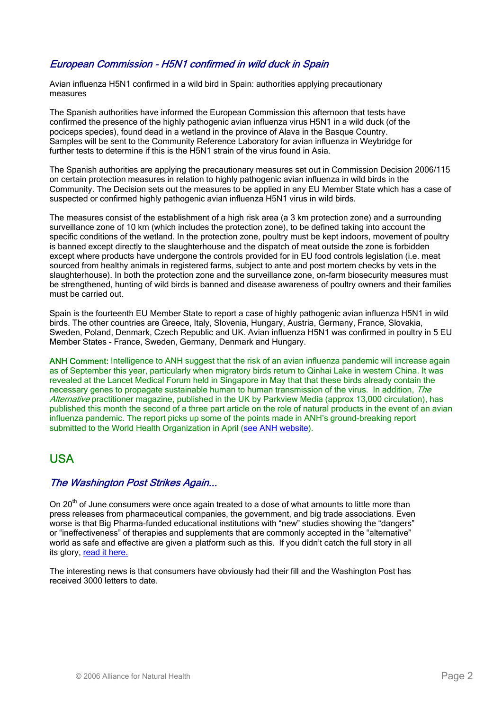### European Commission - H5N1 confirmed in wild duck in Spain

Avian influenza H5N1 confirmed in a wild bird in Spain: authorities applying precautionary measures

The Spanish authorities have informed the European Commission this afternoon that tests have confirmed the presence of the highly pathogenic avian influenza virus H5N1 in a wild duck (of the pociceps species), found dead in a wetland in the province of Alava in the Basque Country. Samples will be sent to the Community Reference Laboratory for avian influenza in Weybridge for further tests to determine if this is the H5N1 strain of the virus found in Asia.

The Spanish authorities are applying the precautionary measures set out in Commission Decision 2006/115 on certain protection measures in relation to highly pathogenic avian influenza in wild birds in the Community. The Decision sets out the measures to be applied in any EU Member State which has a case of suspected or confirmed highly pathogenic avian influenza H5N1 virus in wild birds.

The measures consist of the establishment of a high risk area (a 3 km protection zone) and a surrounding surveillance zone of 10 km (which includes the protection zone), to be defined taking into account the specific conditions of the wetland. In the protection zone, poultry must be kept indoors, movement of poultry is banned except directly to the slaughterhouse and the dispatch of meat outside the zone is forbidden except where products have undergone the controls provided for in EU food controls legislation (i.e. meat sourced from healthy animals in registered farms, subject to ante and post mortem checks by vets in the slaughterhouse). In both the protection zone and the surveillance zone, on-farm biosecurity measures must be strengthened, hunting of wild birds is banned and disease awareness of poultry owners and their families must be carried out.

Spain is the fourteenth EU Member State to report a case of highly pathogenic avian influenza H5N1 in wild birds. The other countries are Greece, Italy, Slovenia, Hungary, Austria, Germany, France, Slovakia, Sweden, Poland, Denmark, Czech Republic and UK. Avian influenza H5N1 was confirmed in poultry in 5 EU Member States - France, Sweden, Germany, Denmark and Hungary.

ANH Comment: Intelligence to ANH suggest that the risk of an avian influenza pandemic will increase again as of September this year, particularly when migratory birds return to Qinhai Lake in western China. It was revealed at the Lancet Medical Forum held in Singapore in May that that these birds already contain the necessary genes to propagate sustainable human to human transmission of the virus. In addition, The Alternative practitioner magazine, published in the UK by Parkview Media (approx 13,000 circulation), has published this month the second of a three part article on the role of natural products in the event of an avian influenza pandemic. The report picks up some of the points made in ANH's ground-breaking report submitted to the World Health Organization in April (see ANH website).

# USA

#### The Washington Post Strikes Again...

On 20<sup>th</sup> of June consumers were once again treated to a dose of what amounts to little more than press releases from pharmaceutical companies, the government, and big trade associations. Even worse is that Big Pharma-funded educational institutions with "new" studies showing the "dangers" or "ineffectiveness" of therapies and supplements that are commonly accepted in the "alternative" world as safe and effective are given a platform such as this. If you didn't catch the full story in all its glory, read it here.

The interesting news is that consumers have obviously had their fill and the Washington Post has received 3000 letters to date.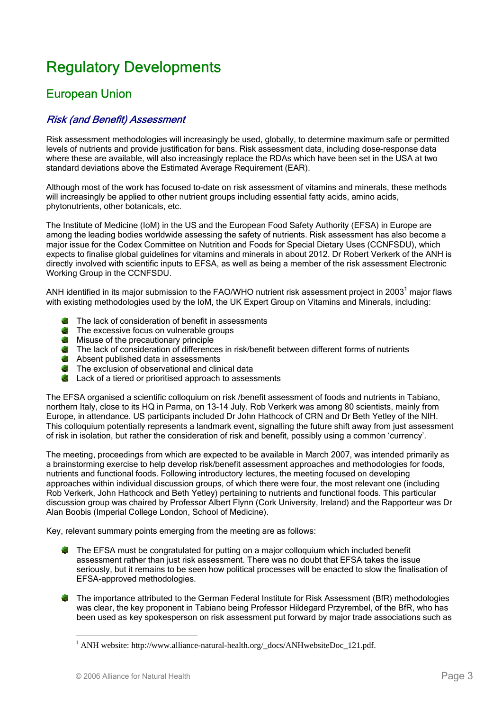# Regulatory Developments

# European Union

### Risk (and Benefit) Assessment

Risk assessment methodologies will increasingly be used, globally, to determine maximum safe or permitted levels of nutrients and provide justification for bans. Risk assessment data, including dose-response data where these are available, will also increasingly replace the RDAs which have been set in the USA at two standard deviations above the Estimated Average Requirement (EAR).

Although most of the work has focused to-date on risk assessment of vitamins and minerals, these methods will increasingly be applied to other nutrient groups including essential fatty acids, amino acids, phytonutrients, other botanicals, etc.

The Institute of Medicine (IoM) in the US and the European Food Safety Authority (EFSA) in Europe are among the leading bodies worldwide assessing the safety of nutrients. Risk assessment has also become a major issue for the Codex Committee on Nutrition and Foods for Special Dietary Uses (CCNFSDU), which expects to finalise global guidelines for vitamins and minerals in about 2012. Dr Robert Verkerk of the ANH is directly involved with scientific inputs to EFSA, as well as being a member of the risk assessment Electronic Working Group in the CCNFSDU.

ANH identified in its major submission to the FAO/WHO nutrient risk assessment project in 2003<sup>1</sup> major flaws with existing methodologies used by the IoM, the UK Expert Group on Vitamins and Minerals, including:

- **The lack of consideration of benefit in assessments**
- The excessive focus on vulnerable groups
- **Misuse of the precautionary principle**
- The lack of consideration of differences in risk/benefit between different forms of nutrients
- Absent published data in assessments
- The exclusion of observational and clinical data
- **C** Lack of a tiered or prioritised approach to assessments

The EFSA organised a scientific colloquium on risk /benefit assessment of foods and nutrients in Tabiano, northern Italy, close to its HQ in Parma, on 13-14 July. Rob Verkerk was among 80 scientists, mainly from Europe, in attendance. US participants included Dr John Hathcock of CRN and Dr Beth Yetley of the NIH. This colloquium potentially represents a landmark event, signalling the future shift away from just assessment of risk in isolation, but rather the consideration of risk and benefit, possibly using a common 'currency'.

The meeting, proceedings from which are expected to be available in March 2007, was intended primarily as a brainstorming exercise to help develop risk/benefit assessment approaches and methodologies for foods, nutrients and functional foods. Following introductory lectures, the meeting focused on developing approaches within individual discussion groups, of which there were four, the most relevant one (including Rob Verkerk, John Hathcock and Beth Yetley) pertaining to nutrients and functional foods. This particular discussion group was chaired by Professor Albert Flynn (Cork University, Ireland) and the Rapporteur was Dr Alan Boobis (Imperial College London, School of Medicine).

Key, relevant summary points emerging from the meeting are as follows:

- **The EFSA must be congratulated for putting on a major colloquium which included benefit** assessment rather than just risk assessment. There was no doubt that EFSA takes the issue seriously, but it remains to be seen how political processes will be enacted to slow the finalisation of EFSA-approved methodologies.
- The importance attributed to the German Federal Institute for Risk Assessment (BfR) methodologies was clear, the key proponent in Tabiano being Professor Hildegard Przyrembel, of the BfR, who has been used as key spokesperson on risk assessment put forward by major trade associations such as

 $\overline{a}$ 

<sup>&</sup>lt;sup>1</sup> ANH website: http://www.alliance-natural-health.org/\_docs/ANHwebsiteDoc\_121.pdf.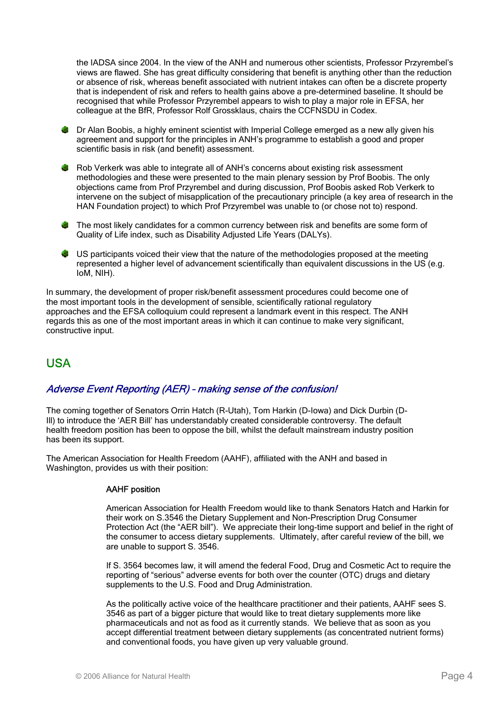the IADSA since 2004. In the view of the ANH and numerous other scientists, Professor Przyrembel's views are flawed. She has great difficulty considering that benefit is anything other than the reduction or absence of risk, whereas benefit associated with nutrient intakes can often be a discrete property that is independent of risk and refers to health gains above a pre-determined baseline. It should be recognised that while Professor Przyrembel appears to wish to play a major role in EFSA, her colleague at the BfR, Professor Rolf Grossklaus, chairs the CCFNSDU in Codex.

- **B** Dr Alan Boobis, a highly eminent scientist with Imperial College emerged as a new ally given his agreement and support for the principles in ANH's programme to establish a good and proper scientific basis in risk (and benefit) assessment.
- Rob Verkerk was able to integrate all of ANH's concerns about existing risk assessment methodologies and these were presented to the main plenary session by Prof Boobis. The only objections came from Prof Przyrembel and during discussion, Prof Boobis asked Rob Verkerk to intervene on the subject of misapplication of the precautionary principle (a key area of research in the HAN Foundation project) to which Prof Przyrembel was unable to (or chose not to) respond.
- The most likely candidates for a common currency between risk and benefits are some form of Quality of Life index, such as Disability Adjusted Life Years (DALYs).
- US participants voiced their view that the nature of the methodologies proposed at the meeting represented a higher level of advancement scientifically than equivalent discussions in the US (e.g. IoM, NIH).

In summary, the development of proper risk/benefit assessment procedures could become one of the most important tools in the development of sensible, scientifically rational regulatory approaches and the EFSA colloquium could represent a landmark event in this respect. The ANH regards this as one of the most important areas in which it can continue to make very significant, constructive input.

# USA

### Adverse Event Reporting (AER) – making sense of the confusion!

The coming together of Senators Orrin Hatch (R-Utah), Tom Harkin (D-Iowa) and Dick Durbin (D-Ill) to introduce the 'AER Bill' has understandably created considerable controversy. The default health freedom position has been to oppose the bill, whilst the default mainstream industry position has been its support.

The American Association for Health Freedom (AAHF), affiliated with the ANH and based in Washington, provides us with their position:

#### AAHF position

American Association for Health Freedom would like to thank Senators Hatch and Harkin for their work on S.3546 the Dietary Supplement and Non-Prescription Drug Consumer Protection Act (the "AER bill"). We appreciate their long-time support and belief in the right of the consumer to access dietary supplements. Ultimately, after careful review of the bill, we are unable to support S. 3546.

If S. 3564 becomes law, it will amend the federal Food, Drug and Cosmetic Act to require the reporting of "serious" adverse events for both over the counter (OTC) drugs and dietary supplements to the U.S. Food and Drug Administration.

As the politically active voice of the healthcare practitioner and their patients, AAHF sees S. 3546 as part of a bigger picture that would like to treat dietary supplements more like pharmaceuticals and not as food as it currently stands. We believe that as soon as you accept differential treatment between dietary supplements (as concentrated nutrient forms) and conventional foods, you have given up very valuable ground.